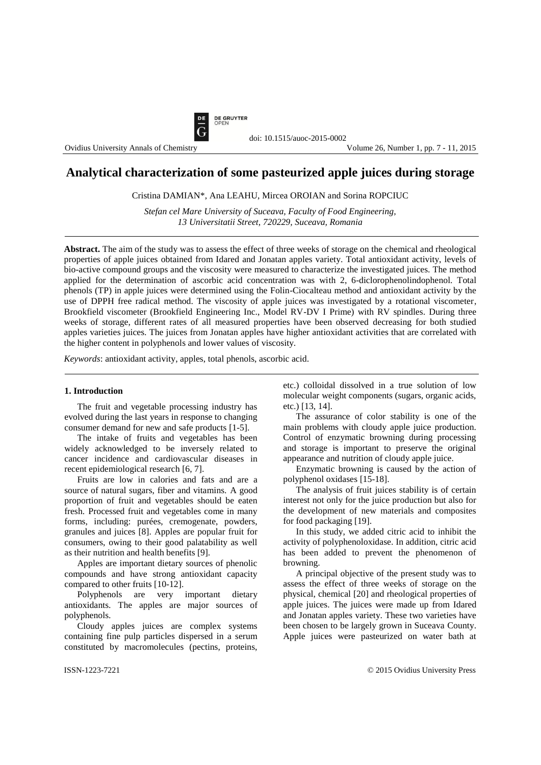

Ovidius University Annals of Chemistry

# **Analytical characterization of some pasteurized apple juices during storage**

Cristina DAMIAN\*, Ana LEAHU, Mircea OROIAN and Sorina ROPCIUC

*Stefan cel Mare University of Suceava, Faculty of Food Engineering, 13 Universitatii Street, 720229, Suceava, Romania*

**Abstract.** The aim of the study was to assess the effect of three weeks of storage on the chemical and rheological properties of apple juices obtained from Idared and Jonatan apples variety. Total antioxidant activity, levels of bio-active compound groups and the viscosity were measured to characterize the investigated juices. The method applied for the determination of ascorbic acid concentration was with 2, 6-diclorophenolindophenol. Total phenols (TP) in apple juices were determined using the Folin-Ciocalteau method and antioxidant activity by the use of DPPH free radical method. The viscosity of apple juices was investigated by a rotational viscometer, Brookfield viscometer (Brookfield Engineering Inc., Model RV-DV I Prime) with RV spindles. During three weeks of storage, different rates of all measured properties have been observed decreasing for both studied apples varieties juices. The juices from Jonatan apples have higher antioxidant activities that are correlated with the higher content in polyphenols and lower values of viscosity.

*Keywords*: antioxidant activity, apples, total phenols, ascorbic acid.

### **1. Introduction**

The fruit and vegetable processing industry has evolved during the last years in response to changing consumer demand for new and safe products [1-5].

The intake of fruits and vegetables has been widely acknowledged to be inversely related to cancer incidence and cardiovascular diseases in recent epidemiological research [6, 7].

Fruits are low in calories and fats and are a source of natural sugars, fiber and vitamins. A good proportion of fruit and vegetables should be eaten fresh. Processed fruit and vegetables come in many forms, including: purées, cremogenate, powders, granules and juices [8]. Apples are popular fruit for consumers, owing to their good palatability as well as their nutrition and health benefits [9].

Apples are important dietary sources of phenolic compounds and have strong antioxidant capacity compared to other fruits [10-12].

Polyphenols are very important dietary antioxidants. The apples are major sources of polyphenols.

Cloudy apples juices are complex systems containing fine pulp particles dispersed in a serum constituted by macromolecules (pectins, proteins, etc.) colloidal dissolved in a true solution of low molecular weight components (sugars, organic acids, etc.) [13, 14].

The assurance of color stability is one of the main problems with cloudy apple juice production. Control of enzymatic browning during processing and storage is important to preserve the original appearance and nutrition of cloudy apple juice.

Enzymatic browning is caused by the action of polyphenol oxidases [15-18].

The analysis of fruit juices stability is of certain interest not only for the juice production but also for the development of new materials and composites for food packaging [19].

In this study, we added citric acid to inhibit the activity of polyphenoloxidase. In addition, citric acid has been added to prevent the phenomenon of browning.

A principal objective of the present study was to assess the effect of three weeks of storage on the physical, chemical [20] and rheological properties of apple juices. The juices were made up from Idared and Jonatan apples variety. These two varieties have been chosen to be largely grown in Suceava County. Apple juices were pasteurized on water bath at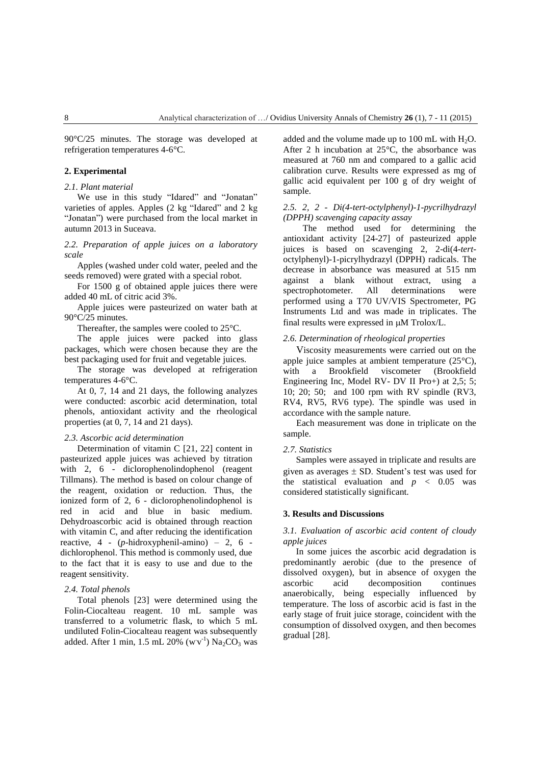90°C/25 minutes. The storage was developed at refrigeration temperatures 4-6°C.

### **2. Experimental**

## *2.1. Plant material*

We use in this study "Idared" and "Jonatan" varieties of apples. Apples (2 kg "Idared" and 2 kg "Jonatan") were purchased from the local market in autumn 2013 in Suceava.

*2.2. Preparation of apple juices on a laboratory scale*

Apples (washed under cold water, peeled and the seeds removed) were grated with a special robot.

For 1500 g of obtained apple juices there were added 40 mL of citric acid 3%.

Apple juices were pasteurized on water bath at 90°C/25 minutes.

Thereafter, the samples were cooled to 25°C.

The apple juices were packed into glass packages, which were chosen because they are the best packaging used for fruit and vegetable juices.

The storage was developed at refrigeration temperatures 4-6°C.

At 0, 7, 14 and 21 days, the following analyzes were conducted: ascorbic acid determination, total phenols, antioxidant activity and the rheological properties (at 0, 7, 14 and 21 days).

#### *2.3. Ascorbic acid determination*

Determination of vitamin C [21, 22] content in pasteurized apple juices was achieved by titration with 2, 6 - diclorophenolindophenol (reagent Tillmans). The method is based on colour change of the reagent, oxidation or reduction. Thus, the ionized form of 2, 6 - diclorophenolindophenol is red in acid and blue in basic medium. Dehydroascorbic acid is obtained through reaction with vitamin C, and after reducing the identification reactive, 4 - (*p*-hidroxyphenil-amino) – 2, 6 dichlorophenol. This method is commonly used, due to the fact that it is easy to use and due to the reagent sensitivity.

## *2.4. Total phenols*

Total phenols [23] were determined using the Folin-Ciocalteau reagent. 10 mL sample was transferred to a volumetric flask, to which 5 mL undiluted Folin-Ciocalteau reagent was subsequently added. After 1 min, 1.5 mL 20% (w $v^{-1}$ ) Na<sub>2</sub>CO<sub>3</sub> was added and the volume made up to 100 mL with  $H_2O$ . After 2 h incubation at 25°C, the absorbance was measured at 760 nm and compared to a gallic acid calibration curve. Results were expressed as mg of gallic acid equivalent per 100 g of dry weight of sample.

# *2.5. 2, 2 - Di(4-tert-octylphenyl)-1-pycrilhydrazyl (DPPH) scavenging capacity assay*

The method used for determining the antioxidant activity [24-27] of pasteurized apple juices is based on scavenging 2, 2-di(4-*tert*octylphenyl)-1-picrylhydrazyl (DPPH) radicals. The decrease in absorbance was measured at 515 nm against a blank without extract, using a spectrophotometer. All determinations were performed using a T70 UV/VIS Spectrometer, PG Instruments Ltd and was made in triplicates. The final results were expressed in  $\mu$ M Trolox/L.

### *2.6. Determination of rheological properties*

Viscosity measurements were carried out on the apple juice samples at ambient temperature (25°C), with a Brookfield viscometer (Brookfield Engineering Inc, Model RV- DV II Pro+) at 2,5; 5; 10; 20; 50; and 100 rpm with RV spindle (RV3, RV4, RV5, RV6 type). The spindle was used in accordance with the sample nature.

Each measurement was done in triplicate on the sample.

# *2.7. Statistics*

Samples were assayed in triplicate and results are given as averages  $\pm$  SD. Student's test was used for the statistical evaluation and  $p < 0.05$  was considered statistically significant.

#### **3. Results and Discussions**

# *3.1. Evaluation of ascorbic acid content of cloudy apple juices*

In some juices the ascorbic acid degradation is predominantly aerobic (due to the presence of dissolved oxygen), but in absence of oxygen the ascorbic acid decomposition continues anaerobically, being especially influenced by temperature. The loss of ascorbic acid is fast in the early stage of fruit juice storage, coincident with the consumption of dissolved oxygen, and then becomes gradual [28].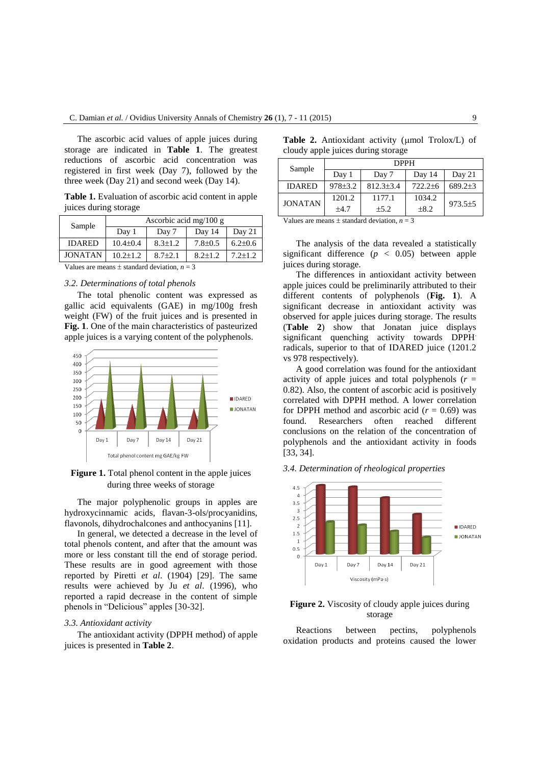The ascorbic acid values of apple juices during storage are indicated in **Table 1**. The greatest reductions of ascorbic acid concentration was registered in first week (Day 7), followed by the three week (Day 21) and second week (Day 14).

**Table 1.** Evaluation of ascorbic acid content in apple juices during storage

| Sample         | Ascorbic acid mg/100 g                                                           |               |               |               |  |
|----------------|----------------------------------------------------------------------------------|---------------|---------------|---------------|--|
|                | Day 1                                                                            | Day 7         | Day 14        | Day $21$      |  |
| <b>IDARED</b>  | $10.4 \pm 0.4$                                                                   | $8.3 \pm 1.2$ | $7.8 \pm 0.5$ | $6.2{\pm}0.6$ |  |
| <b>JONATAN</b> | $10.2 \pm 1.2$                                                                   | $8.7 \pm 2.1$ | $8.2 \pm 1.2$ | $7.2 + 1.2$   |  |
| <b>TT</b> 1    | $\mathbf{a}$ and $\mathbf{a}$ and $\mathbf{a}$ and $\mathbf{a}$ and $\mathbf{a}$ |               |               |               |  |

Values are means  $\pm$  standard deviation,  $n = 3$ 

# *3.2. Determinations of total phenols*

The total phenolic content was expressed as gallic acid equivalents (GAE) in mg/100g fresh weight (FW) of the fruit juices and is presented in **Fig. 1**. One of the main characteristics of pasteurized apple juices is a varying content of the polyphenols.



# **Figure 1.** Total phenol content in the apple juices during three weeks of storage

The major polyphenolic groups in apples are hydroxycinnamic acids, flavan-3-ols/procyanidins, flavonols, dihydrochalcones and anthocyanins [11].

In general, we detected a decrease in the level of total phenols content, and after that the amount was more or less constant till the end of storage period. These results are in good agreement with those reported by Piretti *et al*. (1904) [29]. The same results were achieved by Ju *et al*. (1996), who reported a rapid decrease in the content of simple phenols in "Delicious" apples [30-32].

#### *3.3. Antioxidant activity*

The antioxidant activity (DPPH method) of apple juices is presented in **Table 2**.

|                                    |  | <b>Table 2.</b> Antioxidant activity ( $\mu$ mol Trolox/L) of |  |  |  |  |
|------------------------------------|--|---------------------------------------------------------------|--|--|--|--|
| cloudy apple juices during storage |  |                                                               |  |  |  |  |

| Sample         | <b>DPPH</b> |                 |               |             |  |  |
|----------------|-------------|-----------------|---------------|-------------|--|--|
|                | Day 1       | Day 7           | Day 14        | Day 21      |  |  |
| <b>IDARED</b>  | $978 + 3.2$ | $812.3 \pm 3.4$ | $722.2 \pm 6$ | $689.2+3$   |  |  |
| <b>JONATAN</b> | 1201.2      | 1177.1          | 1034.2        | $973.5 + 5$ |  |  |
|                | ±4.7        | $+5.2$          | $\pm 8.2$     |             |  |  |

Values are means  $\pm$  standard deviation,  $n = 3$ 

The analysis of the data revealed a statistically significant difference  $(p < 0.05)$  between apple juices during storage.

The differences in antioxidant activity between apple juices could be preliminarily attributed to their different contents of polyphenols (**Fig. 1**). A significant decrease in antioxidant activity was observed for apple juices during storage. The results (**Table 2**) show that Jonatan juice displays significant quenching activity towards DPPH. radicals, superior to that of IDARED juice (1201.2 vs 978 respectively).

A good correlation was found for the antioxidant activity of apple juices and total polyphenols  $(r =$ 0.82). Also, the content of ascorbic acid is positively correlated with DPPH method. A lower correlation for DPPH method and ascorbic acid  $(r = 0.69)$  was found. Researchers often reached different conclusions on the relation of the concentration of polyphenols and the antioxidant activity in foods [33, 34].

*3.4. Determination of rheological properties*



# **Figure 2.** Viscosity of cloudy apple juices during storage

Reactions between pectins, polyphenols oxidation products and proteins caused the lower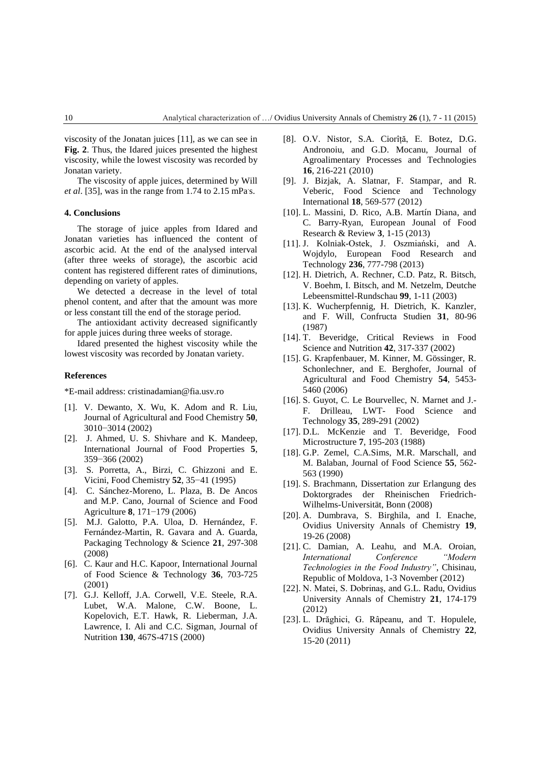viscosity of the Jonatan juices [11], as we can see in **Fig. 2**. Thus, the Idared juices presented the highest viscosity, while the lowest viscosity was recorded by Jonatan variety.

The viscosity of apple juices, determined by Will *et al.* [35], was in the range from 1.74 to 2.15 mPa's.

## **4. Conclusions**

The storage of juice apples from Idared and Jonatan varieties has influenced the content of ascorbic acid. At the end of the analysed interval (after three weeks of storage), the ascorbic acid content has registered different rates of diminutions, depending on variety of apples.

We detected a decrease in the level of total phenol content, and after that the amount was more or less constant till the end of the storage period.

The antioxidant activity decreased significantly for apple juices during three weeks of storage.

Idared presented the highest viscosity while the lowest viscosity was recorded by Jonatan variety.

### **References**

\*E-mail address: cristinadamian@fia.usv.ro

- [1]. V. Dewanto, X. Wu, K. Adom and R. Liu, Journal of Agricultural and Food Chemistry **50**, 3010−3014 (2002)
- [2]. J. Ahmed, U. S. Shivhare and K. Mandeep, International Journal of Food Properties **5**, 359−366 (2002)
- [3]. S. Porretta, A., Birzi, C. Ghizzoni and E. Vicini, Food Chemistry **52**, 35−41 (1995)
- [4]. C. Sánchez-Moreno, L. Plaza, B. De Ancos and M.P. Cano, Journal of Science and Food Agriculture **8**, 171−179 (2006)
- [5]. M.J. Galotto, P.A. Uloa, D. Hernández, F. Fernández-Martin, R. Gavara and A. Guarda, Packaging Technology & Science **21**, 297-308 (2008)
- [6]. C. Kaur and H.C. Kapoor, [International Journal](http://onlinelibrary.wiley.com/journal/10.1111/%28ISSN%291365-2621)  [of Food Science & Technology](http://onlinelibrary.wiley.com/journal/10.1111/%28ISSN%291365-2621) **36**, 703-725 (2001)
- [7]. G.J. Kelloff, J.A. Corwell, V.E. Steele, R.A. Lubet, W.A. Malone, C.W. Boone, L. Kopelovich, E.T. Hawk, R. Lieberman, J.A. Lawrence, I. Ali and C.C. Sigman, [Journal of](http://www.google.ro/url?sa=t&rct=j&q=&esrc=s&source=web&cd=1&ved=0CCAQFjAA&url=http%3A%2F%2Fjn.nutrition.org%2F&ei=zedYVbGDJMaesAGM3ID4Ag&usg=AFQjCNFAJyZLM6iYoB1ATQM6e-6HtaVUaQ&sig2=oGYzrmt4VCWPn8Sr-9CSHA&bvm=bv.93564037,d.bGg)  [Nutrition](http://www.google.ro/url?sa=t&rct=j&q=&esrc=s&source=web&cd=1&ved=0CCAQFjAA&url=http%3A%2F%2Fjn.nutrition.org%2F&ei=zedYVbGDJMaesAGM3ID4Ag&usg=AFQjCNFAJyZLM6iYoB1ATQM6e-6HtaVUaQ&sig2=oGYzrmt4VCWPn8Sr-9CSHA&bvm=bv.93564037,d.bGg) **130**, 467S-471S (2000)
- [8]. O.V. Nistor, S.A. Ciorîță, E. Botez, D.G. Andronoiu, and G.D. Mocanu, Journal of Agroalimentary Processes and Technologies **16**, 216-221 (2010)
- [9]. J. Bizjak, A. Slatnar, F. Stampar, and R. Veberic, Food Science and Technology International **18**, 569-577 (2012)
- [10]. L. Massini, D. Rico, A.B. Martín Diana, and C. Barry-Ryan, European Jounal of Food Research & Review **3**, 1-15 (2013)
- [11]. J. Kolniak-Ostek, J. Oszmiański, and A. Wojdylo, European Food Research and Technology **236**, 777-798 (2013)
- [12]. H. Dietrich, A. Rechner, C.D. Patz, R. Bitsch, V. Boehm, I. Bitsch, and M. Netzelm, Deutche Lebeensmittel-Rundschau **99**, 1-11 (2003)
- [13]. K. Wucherpfennig, H. Dietrich, K. Kanzler, and F. Will, Confructa Studien **31**, 80-96 (1987)
- [14]. T. Beveridge, Critical Reviews in Food Science and Nutrition **42**, 317-337 (2002)
- [15]. G. Krapfenbauer, M. Kinner, M. Gössinger, R. Schonlechner, and E. Berghofer, Journal of Agricultural and Food Chemistry **54**, 5453- 5460 (2006)
- [16]. S. Guyot, C. Le Bourvellec, N. Marnet and J.-F. Drilleau, LWT- Food Science and Technology **35**, 289-291 (2002)
- [17]. D.L. McKenzie and T. Beveridge, Food Microstructure **7**, 195-203 (1988)
- [18]. G.P. Zemel, C.A.Sims, M.R. Marschall, and M. Balaban, [Journal of Food Science](http://onlinelibrary.wiley.com/journal/10.1111/%28ISSN%291750-3841) **55**, 562- 563 (1990)
- [19]. S. Brachmann, Dissertation zur Erlangung des Doktorgrades der Rheinischen Friedrich-Wilhelms-Universität, Bonn (2008)
- [20]. A. Dumbrava, S. Birghila, and I. Enache, Ovidius University Annals of Chemistry **19**, 19-26 (2008)
- [21]. C. Damian, A. Leahu, and M.A. Oroian, *International Conference "Modern Technologies in the Food Industry"*, Chisinau, Republic of Moldova, 1-3 November (2012)
- [22]. N. Matei, S. Dobrinaș, and G.L. Radu, Ovidius University Annals of Chemistry **21**, 174-179 (2012)
- [23]. L. Drăghici, G. Râpeanu, and T. Hopulele, Ovidius University Annals of Chemistry **22**, 15-20 (2011)